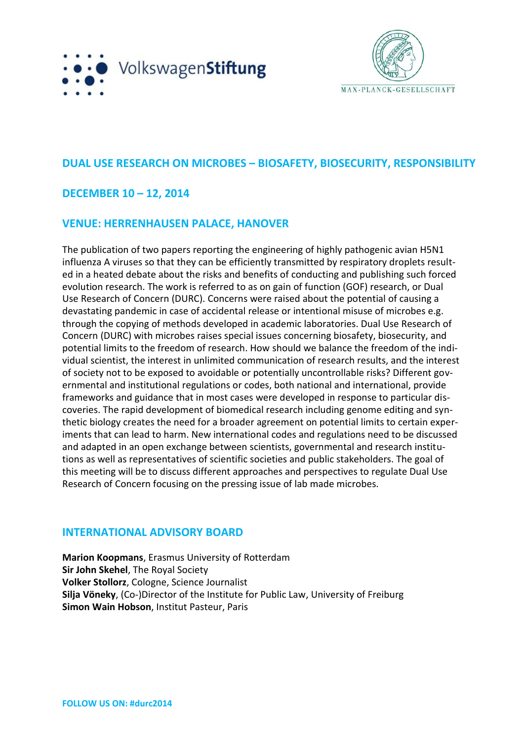



# **DUAL USE RESEARCH ON MICROBES – BIOSAFETY, BIOSECURITY, RESPONSIBILITY**

## **DECEMBER 10 – 12, 2014**

## **VENUE: HERRENHAUSEN PALACE, HANOVER**

The publication of two papers reporting the engineering of highly pathogenic avian H5N1 influenza A viruses so that they can be efficiently transmitted by respiratory droplets resulted in a heated debate about the risks and benefits of conducting and publishing such forced evolution research. The work is referred to as on gain of function (GOF) research, or Dual Use Research of Concern (DURC). Concerns were raised about the potential of causing a devastating pandemic in case of accidental release or intentional misuse of microbes e.g. through the copying of methods developed in academic laboratories. Dual Use Research of Concern (DURC) with microbes raises special issues concerning biosafety, biosecurity, and potential limits to the freedom of research. How should we balance the freedom of the individual scientist, the interest in unlimited communication of research results, and the interest of society not to be exposed to avoidable or potentially uncontrollable risks? Different governmental and institutional regulations or codes, both national and international, provide frameworks and guidance that in most cases were developed in response to particular discoveries. The rapid development of biomedical research including genome editing and synthetic biology creates the need for a broader agreement on potential limits to certain experiments that can lead to harm. New international codes and regulations need to be discussed and adapted in an open exchange between scientists, governmental and research institutions as well as representatives of scientific societies and public stakeholders. The goal of this meeting will be to discuss different approaches and perspectives to regulate Dual Use Research of Concern focusing on the pressing issue of lab made microbes.

## **INTERNATIONAL ADVISORY BOARD**

**Marion Koopmans**, Erasmus University of Rotterdam **Sir John Skehel**, The Royal Society **Volker Stollorz**, Cologne, Science Journalist **Silja Vöneky**, (Co-)Director of the Institute for Public Law, University of Freiburg **Simon Wain Hobson**, Institut Pasteur, Paris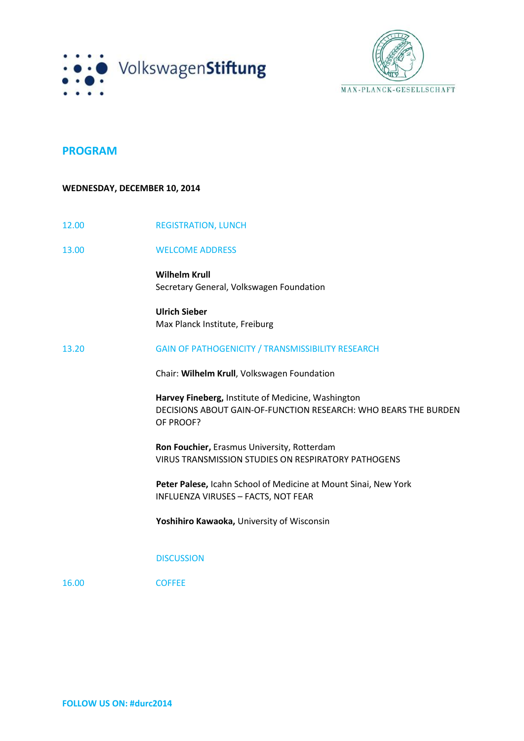



### **PROGRAM**

### **WEDNESDAY, DECEMBER 10, 2014**

| 12.00 | <b>REGISTRATION, LUNCH</b>                                                                                                         |
|-------|------------------------------------------------------------------------------------------------------------------------------------|
| 13.00 | <b>WELCOME ADDRESS</b>                                                                                                             |
|       | <b>Wilhelm Krull</b><br>Secretary General, Volkswagen Foundation                                                                   |
|       | <b>Ulrich Sieber</b><br>Max Planck Institute, Freiburg                                                                             |
| 13.20 | GAIN OF PATHOGENICITY / TRANSMISSIBILITY RESEARCH                                                                                  |
|       | Chair: Wilhelm Krull, Volkswagen Foundation                                                                                        |
|       | Harvey Fineberg, Institute of Medicine, Washington<br>DECISIONS ABOUT GAIN-OF-FUNCTION RESEARCH: WHO BEARS THE BURDEN<br>OF PROOF? |
|       | Ron Fouchier, Erasmus University, Rotterdam<br>VIRUS TRANSMISSION STUDIES ON RESPIRATORY PATHOGENS                                 |
|       | Peter Palese, Icahn School of Medicine at Mount Sinai, New York<br><b>INFLUENZA VIRUSES - FACTS, NOT FEAR</b>                      |
|       | Yoshihiro Kawaoka, University of Wisconsin                                                                                         |
|       | <b>DISCUSSION</b>                                                                                                                  |
| 16.00 | <b>COFFEE</b>                                                                                                                      |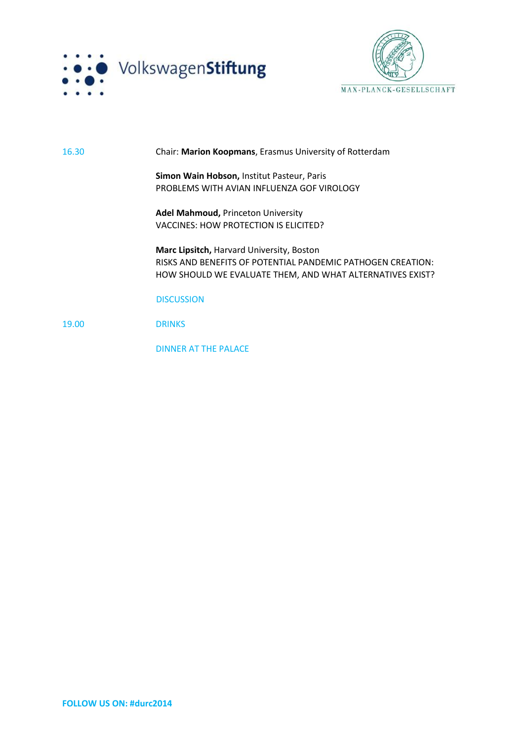



#### 16.30 Chair: **Marion Koopmans**, Erasmus University of Rotterdam

**Simon Wain Hobson,** Institut Pasteur, Paris PROBLEMS WITH AVIAN INFLUENZA GOF VIROLOGY

**Adel Mahmoud,** Princeton University VACCINES: HOW PROTECTION IS ELICITED?

**Marc Lipsitch,** Harvard University, Boston RISKS AND BENEFITS OF POTENTIAL PANDEMIC PATHOGEN CREATION: HOW SHOULD WE EVALUATE THEM, AND WHAT ALTERNATIVES EXIST?

#### **DISCUSSION**

19.00 DRINKS

DINNER AT THE PALACE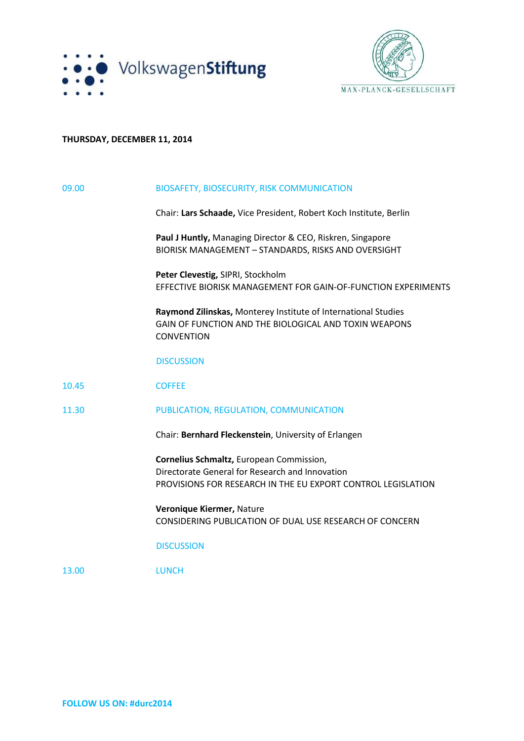



### **THURSDAY, DECEMBER 11, 2014**

| 09.00 | <b>BIOSAFETY, BIOSECURITY, RISK COMMUNICATION</b>                                                                                                           |
|-------|-------------------------------------------------------------------------------------------------------------------------------------------------------------|
|       | Chair: Lars Schaade, Vice President, Robert Koch Institute, Berlin                                                                                          |
|       | Paul J Huntly, Managing Director & CEO, Riskren, Singapore<br>BIORISK MANAGEMENT - STANDARDS, RISKS AND OVERSIGHT                                           |
|       | Peter Clevestig, SIPRI, Stockholm<br>EFFECTIVE BIORISK MANAGEMENT FOR GAIN-OF-FUNCTION EXPERIMENTS                                                          |
|       | Raymond Zilinskas, Monterey Institute of International Studies<br>GAIN OF FUNCTION AND THE BIOLOGICAL AND TOXIN WEAPONS<br><b>CONVENTION</b>                |
|       | <b>DISCUSSION</b>                                                                                                                                           |
| 10.45 | <b>COFFEE</b>                                                                                                                                               |
| 11.30 | PUBLICATION, REGULATION, COMMUNICATION                                                                                                                      |
|       | Chair: Bernhard Fleckenstein, University of Erlangen                                                                                                        |
|       | Cornelius Schmaltz, European Commission,<br>Directorate General for Research and Innovation<br>PROVISIONS FOR RESEARCH IN THE EU EXPORT CONTROL LEGISLATION |
|       | Veronique Kiermer, Nature<br><b>CONSIDERING PUBLICATION OF DUAL USE RESEARCH OF CONCERN</b>                                                                 |
|       | <b>DISCUSSION</b>                                                                                                                                           |
| 13.00 | <b>LUNCH</b>                                                                                                                                                |
|       |                                                                                                                                                             |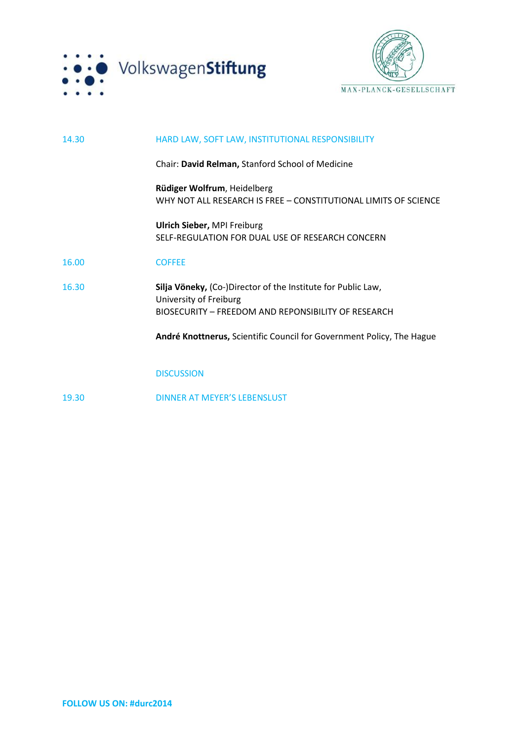



| 14.30 | HARD LAW, SOFT LAW, INSTITUTIONAL RESPONSIBILITY                                                                                              |
|-------|-----------------------------------------------------------------------------------------------------------------------------------------------|
|       | Chair: David Relman, Stanford School of Medicine                                                                                              |
|       | Rüdiger Wolfrum, Heidelberg<br>WHY NOT ALL RESEARCH IS FREE - CONSTITUTIONAL LIMITS OF SCIENCE                                                |
|       | <b>Ulrich Sieber, MPI Freiburg</b><br>SELF-REGULATION FOR DUAL USE OF RESEARCH CONCERN                                                        |
| 16.00 | <b>COFFEE</b>                                                                                                                                 |
| 16.30 | Silja Vöneky, (Co-)Director of the Institute for Public Law,<br>University of Freiburg<br>BIOSECURITY - FREEDOM AND REPONSIBILITY OF RESEARCH |
|       | André Knottnerus, Scientific Council for Government Policy, The Hague                                                                         |
|       | <b>DISCUSSION</b>                                                                                                                             |
| 19.30 | DINNER AT MEYER'S LEBENSLUST                                                                                                                  |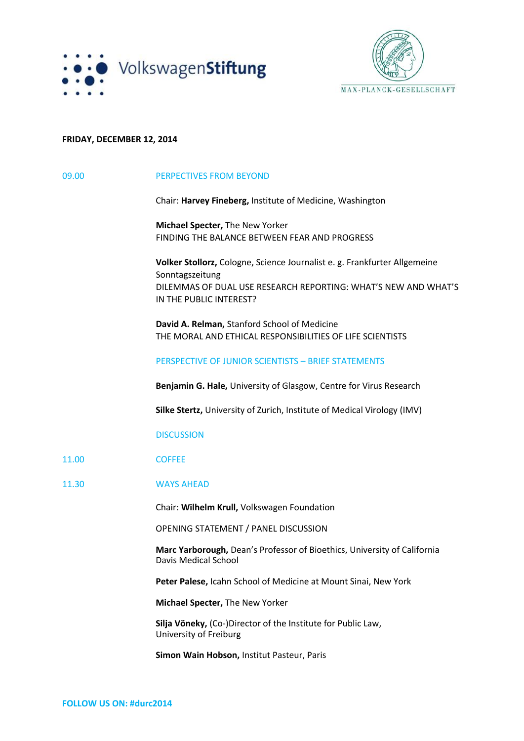



### **FRIDAY, DECEMBER 12, 2014**

| 09.00 | PERPECTIVES FROM BEYOND                                                                                                                                                                   |
|-------|-------------------------------------------------------------------------------------------------------------------------------------------------------------------------------------------|
|       | Chair: Harvey Fineberg, Institute of Medicine, Washington                                                                                                                                 |
|       | Michael Specter, The New Yorker<br>FINDING THE BALANCE BETWEEN FEAR AND PROGRESS                                                                                                          |
|       | Volker Stollorz, Cologne, Science Journalist e. g. Frankfurter Allgemeine<br>Sonntagszeitung<br>DILEMMAS OF DUAL USE RESEARCH REPORTING: WHAT'S NEW AND WHAT'S<br>IN THE PUBLIC INTEREST? |
|       | David A. Relman, Stanford School of Medicine<br>THE MORAL AND ETHICAL RESPONSIBILITIES OF LIFE SCIENTISTS                                                                                 |
|       | PERSPECTIVE OF JUNIOR SCIENTISTS - BRIEF STATEMENTS                                                                                                                                       |
|       | Benjamin G. Hale, University of Glasgow, Centre for Virus Research                                                                                                                        |
|       | Silke Stertz, University of Zurich, Institute of Medical Virology (IMV)                                                                                                                   |
|       | <b>DISCUSSION</b>                                                                                                                                                                         |
| 11.00 | <b>COFFEE</b>                                                                                                                                                                             |
| 11.30 | <b>WAYS AHEAD</b>                                                                                                                                                                         |
|       | Chair: Wilhelm Krull, Volkswagen Foundation                                                                                                                                               |
|       | OPENING STATEMENT / PANEL DISCUSSION                                                                                                                                                      |
|       | Marc Yarborough, Dean's Professor of Bioethics, University of California<br><b>Davis Medical School</b>                                                                                   |
|       | Peter Palese, Icahn School of Medicine at Mount Sinai, New York                                                                                                                           |
|       | Michael Specter, The New Yorker                                                                                                                                                           |
|       | Silja Vöneky, (Co-)Director of the Institute for Public Law,<br>University of Freiburg                                                                                                    |
|       | Simon Wain Hobson, Institut Pasteur, Paris                                                                                                                                                |